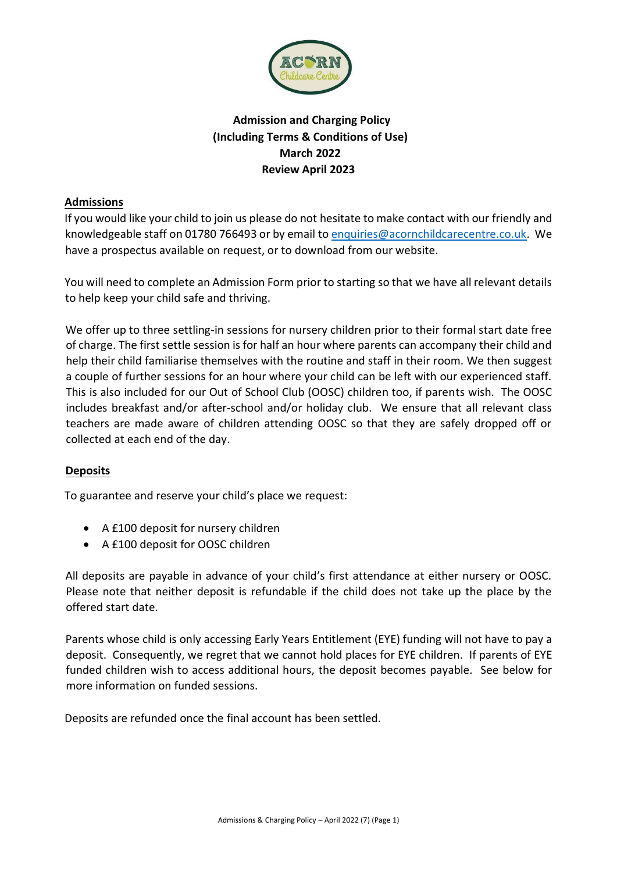

# **Admission and Charging Policy (Including Terms & Conditions of Use) March 2022 Review April 2023**

# **Admissions**

If you would like your child to join us please do not hesitate to make contact with our friendly and knowledgeable staff on 01780 766493 or by email to enquiries@acornchildcarecentre.co.uk. We have a prospectus available on request, or to download from our website.

You will need to complete an Admission Form prior to starting so that we have all relevant details to help keep your child safe and thriving.

We offer up to three settling-in sessions for nursery children prior to their formal start date free of charge. The first settle session is for half an hour where parents can accompany their child and help their child familiarise themselves with the routine and staff in their room. We then suggest a couple of further sessions for an hour where your child can be left with our experienced staff. This is also included for our Out of School Club (OOSC) children too, if parents wish. The OOSC includes breakfast and/or after-school and/or holiday club. We ensure that all relevant class teachers are made aware of children attending OOSC so that they are safely dropped off or collected at each end of the day.

# **Deposits**

To guarantee and reserve your child's place we request:

- A £100 deposit for nursery children
- A £100 deposit for OOSC children

All deposits are payable in advance of your child's first attendance at either nursery or OOSC. Please note that neither deposit is refundable if the child does not take up the place by the offered start date.

Parents whose child is only accessing Early Years Entitlement (EYE) funding will not have to pay a deposit. Consequently, we regret that we cannot hold places for EYE children. If parents of EYE funded children wish to access additional hours, the deposit becomes payable. See below for more information on funded sessions.

Deposits are refunded once the final account has been settled.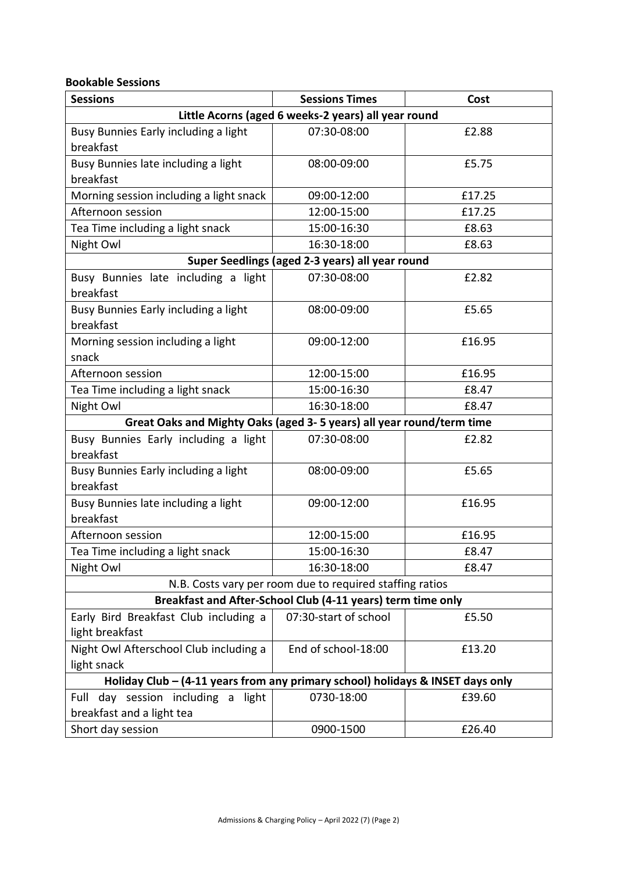#### **Bookable Sessions**

| <b>Sessions</b>                                                                | <b>Sessions Times</b> | Cost   |  |  |  |  |  |
|--------------------------------------------------------------------------------|-----------------------|--------|--|--|--|--|--|
| Little Acorns (aged 6 weeks-2 years) all year round                            |                       |        |  |  |  |  |  |
| Busy Bunnies Early including a light                                           | 07:30-08:00           | £2.88  |  |  |  |  |  |
| breakfast                                                                      |                       |        |  |  |  |  |  |
| Busy Bunnies late including a light                                            | 08:00-09:00           | £5.75  |  |  |  |  |  |
| breakfast                                                                      |                       |        |  |  |  |  |  |
| Morning session including a light snack                                        | 09:00-12:00           | £17.25 |  |  |  |  |  |
| Afternoon session                                                              | 12:00-15:00           | £17.25 |  |  |  |  |  |
| Tea Time including a light snack                                               | 15:00-16:30           | £8.63  |  |  |  |  |  |
| Night Owl                                                                      | 16:30-18:00           | £8.63  |  |  |  |  |  |
| Super Seedlings (aged 2-3 years) all year round                                |                       |        |  |  |  |  |  |
| Busy Bunnies late including a light<br>breakfast                               | 07:30-08:00           | £2.82  |  |  |  |  |  |
| Busy Bunnies Early including a light<br>breakfast                              | 08:00-09:00           | £5.65  |  |  |  |  |  |
| Morning session including a light<br>snack                                     | 09:00-12:00           | £16.95 |  |  |  |  |  |
| Afternoon session                                                              | 12:00-15:00           | £16.95 |  |  |  |  |  |
| Tea Time including a light snack                                               | 15:00-16:30           | £8.47  |  |  |  |  |  |
| Night Owl                                                                      | 16:30-18:00           | £8.47  |  |  |  |  |  |
| Great Oaks and Mighty Oaks (aged 3-5 years) all year round/term time           |                       |        |  |  |  |  |  |
| Busy Bunnies Early including a light                                           | 07:30-08:00           | £2.82  |  |  |  |  |  |
| breakfast                                                                      |                       |        |  |  |  |  |  |
| Busy Bunnies Early including a light                                           | 08:00-09:00           | £5.65  |  |  |  |  |  |
| breakfast                                                                      |                       |        |  |  |  |  |  |
| Busy Bunnies late including a light                                            | 09:00-12:00           | £16.95 |  |  |  |  |  |
| breakfast                                                                      |                       |        |  |  |  |  |  |
| Afternoon session                                                              | 12:00-15:00           | £16.95 |  |  |  |  |  |
| Tea Time including a light snack                                               | 15:00-16:30           | £8.47  |  |  |  |  |  |
| Night Owl                                                                      | 16:30-18:00           | £8.47  |  |  |  |  |  |
| N.B. Costs vary per room due to required staffing ratios                       |                       |        |  |  |  |  |  |
| Breakfast and After-School Club (4-11 years) term time only                    |                       |        |  |  |  |  |  |
| Early Bird Breakfast Club including a                                          | 07:30-start of school | £5.50  |  |  |  |  |  |
| light breakfast                                                                |                       |        |  |  |  |  |  |
| Night Owl Afterschool Club including a                                         | End of school-18:00   | £13.20 |  |  |  |  |  |
| light snack                                                                    |                       |        |  |  |  |  |  |
| Holiday Club – (4-11 years from any primary school) holidays & INSET days only |                       |        |  |  |  |  |  |
| Full day session including a<br>light                                          | 0730-18:00            | £39.60 |  |  |  |  |  |
| breakfast and a light tea                                                      |                       |        |  |  |  |  |  |
| Short day session                                                              | 0900-1500             | £26.40 |  |  |  |  |  |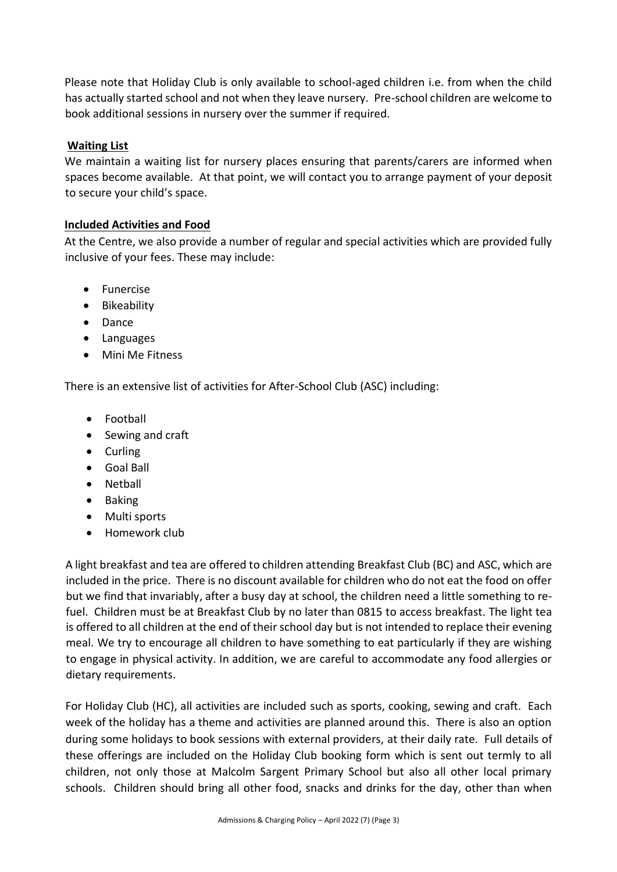Please note that Holiday Club is only available to school-aged children i.e. from when the child has actually started school and not when they leave nursery. Pre-school children are welcome to book additional sessions in nursery over the summer if required.

## **Waiting List**

We maintain a waiting list for nursery places ensuring that parents/carers are informed when spaces become available. At that point, we will contact you to arrange payment of your deposit to secure your child's space.

## **Included Activities and Food**

At the Centre, we also provide a number of regular and special activities which are provided fully inclusive of your fees. These may include:

- Funercise
- Bikeability
- Dance
- Languages
- Mini Me Fitness

There is an extensive list of activities for After-School Club (ASC) including:

- Football
- Sewing and craft
- Curling
- Goal Ball
- Netball
- Baking
- Multi sports
- Homework club

A light breakfast and tea are offered to children attending Breakfast Club (BC) and ASC, which are included in the price. There is no discount available for children who do not eat the food on offer but we find that invariably, after a busy day at school, the children need a little something to refuel. Children must be at Breakfast Club by no later than 0815 to access breakfast. The light tea is offered to all children at the end of their school day but is not intended to replace their evening meal. We try to encourage all children to have something to eat particularly if they are wishing to engage in physical activity. In addition, we are careful to accommodate any food allergies or dietary requirements.

For Holiday Club (HC), all activities are included such as sports, cooking, sewing and craft. Each week of the holiday has a theme and activities are planned around this. There is also an option during some holidays to book sessions with external providers, at their daily rate. Full details of these offerings are included on the Holiday Club booking form which is sent out termly to all children, not only those at Malcolm Sargent Primary School but also all other local primary schools. Children should bring all other food, snacks and drinks for the day, other than when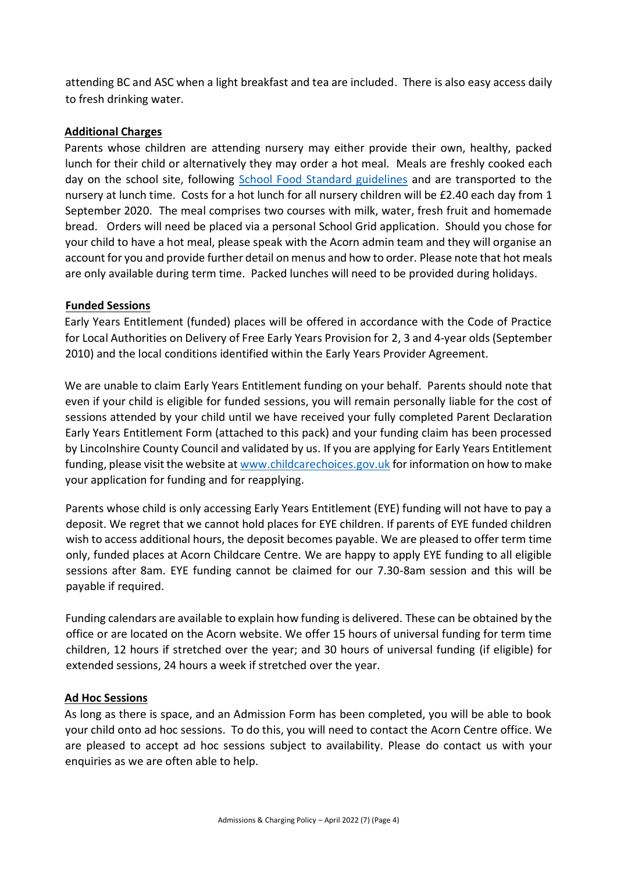attending BC and ASC when a light breakfast and tea are included. There is also easy access daily to fresh drinking water.

### **Additional Charges**

Parents whose children are attending nursery may either provide their own, healthy, packed lunch for their child or alternatively they may order a hot meal. Meals are freshly cooked each day on the school site, following [School Food Standard guidelines](https://www.googleadservices.com/pagead/aclk?sa=L&ai=DChcSEwioxaHAueTtAhWk7-0KHQAYAosYABAAGgJkZw&ae=2&ohost=www.google.com&cid=CAASE-RosRTKPqia5qvcTz2KEXjgKfo&sig=AOD64_304mc_RtpCyZrrmugsimev7FZWug&q&adurl&ved=2ahUKEwjsoZvAueTtAhUwVBUIHaZMCpoQ0Qx6BAgVEAE) and are transported to the nursery at lunch time. Costs for a hot lunch for all nursery children will be £2.40 each day from 1 September 2020. The meal comprises two courses with milk, water, fresh fruit and homemade bread. Orders will need be placed via a personal School Grid application. Should you chose for your child to have a hot meal, please speak with the Acorn admin team and they will organise an account for you and provide further detail on menus and how to order. Please note that hot meals are only available during term time. Packed lunches will need to be provided during holidays.

## **Funded Sessions**

Early Years Entitlement (funded) places will be offered in accordance with the Code of Practice for Local Authorities on Delivery of Free Early Years Provision for 2, 3 and 4-year olds (September 2010) and the local conditions identified within the Early Years Provider Agreement.

We are unable to claim Early Years Entitlement funding on your behalf. Parents should note that even if your child is eligible for funded sessions, you will remain personally liable for the cost of sessions attended by your child until we have received your fully completed Parent Declaration Early Years Entitlement Form (attached to this pack) and your funding claim has been processed by Lincolnshire County Council and validated by us. If you are applying for Early Years Entitlement funding, please visit the website at [www.childcarechoices.gov.uk](http://www.childcarechoices.gov.uk/) for information on how to make your application for funding and for reapplying.

Parents whose child is only accessing Early Years Entitlement (EYE) funding will not have to pay a deposit. We regret that we cannot hold places for EYE children. If parents of EYE funded children wish to access additional hours, the deposit becomes payable. We are pleased to offer term time only, funded places at Acorn Childcare Centre. We are happy to apply EYE funding to all eligible sessions after 8am. EYE funding cannot be claimed for our 7.30-8am session and this will be payable if required.

Funding calendars are available to explain how funding is delivered. These can be obtained by the office or are located on the Acorn website. We offer 15 hours of universal funding for term time children, 12 hours if stretched over the year; and 30 hours of universal funding (if eligible) for extended sessions, 24 hours a week if stretched over the year.

#### **Ad Hoc Sessions**

As long as there is space, and an Admission Form has been completed, you will be able to book your child onto ad hoc sessions. To do this, you will need to contact the Acorn Centre office. We are pleased to accept ad hoc sessions subject to availability. Please do contact us with your enquiries as we are often able to help.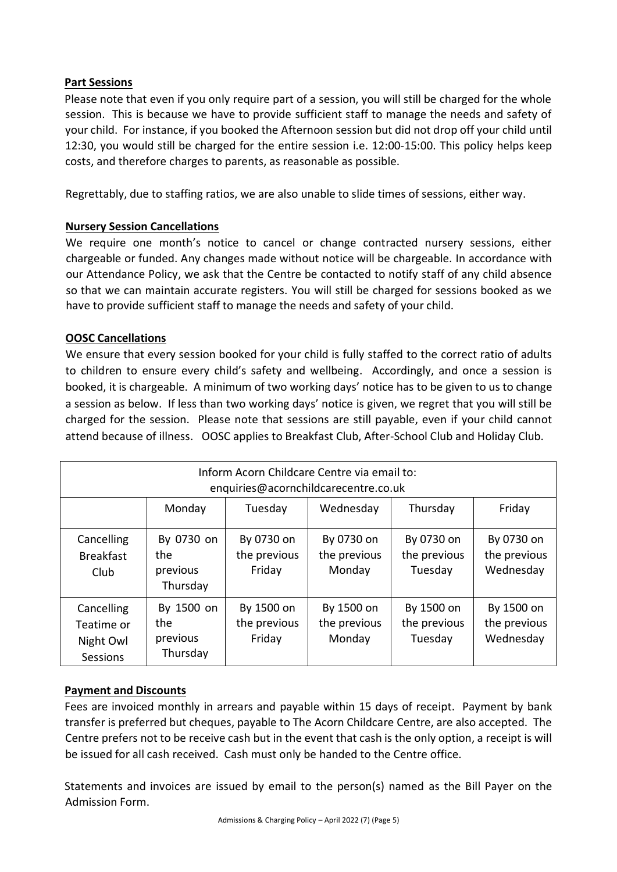# **Part Sessions**

Please note that even if you only require part of a session, you will still be charged for the whole session. This is because we have to provide sufficient staff to manage the needs and safety of your child. For instance, if you booked the Afternoon session but did not drop off your child until 12:30, you would still be charged for the entire session i.e. 12:00-15:00. This policy helps keep costs, and therefore charges to parents, as reasonable as possible.

Regrettably, due to staffing ratios, we are also unable to slide times of sessions, either way.

# **Nursery Session Cancellations**

We require one month's notice to cancel or change contracted nursery sessions, either chargeable or funded. Any changes made without notice will be chargeable. In accordance with our Attendance Policy, we ask that the Centre be contacted to notify staff of any child absence so that we can maintain accurate registers. You will still be charged for sessions booked as we have to provide sufficient staff to manage the needs and safety of your child.

## **OOSC Cancellations**

We ensure that every session booked for your child is fully staffed to the correct ratio of adults to children to ensure every child's safety and wellbeing. Accordingly, and once a session is booked, it is chargeable. A minimum of two working days' notice has to be given to us to change a session as below. If less than two working days' notice is given, we regret that you will still be charged for the session. Please note that sessions are still payable, even if your child cannot attend because of illness. OOSC applies to Breakfast Club, After-School Club and Holiday Club.

| Inform Acorn Childcare Centre via email to:<br>enquiries@acornchildcarecentre.co.uk |                                           |                                      |                                      |                                       |                                         |  |
|-------------------------------------------------------------------------------------|-------------------------------------------|--------------------------------------|--------------------------------------|---------------------------------------|-----------------------------------------|--|
|                                                                                     | Monday                                    | Tuesday                              | Wednesday                            | Thursday                              | Friday                                  |  |
| Cancelling<br><b>Breakfast</b><br>Club                                              | By 0730 on<br>the<br>previous<br>Thursday | By 0730 on<br>the previous<br>Friday | By 0730 on<br>the previous<br>Monday | By 0730 on<br>the previous<br>Tuesday | By 0730 on<br>the previous<br>Wednesday |  |
| Cancelling<br>Teatime or<br>Night Owl<br>Sessions                                   | By 1500 on<br>the<br>previous<br>Thursday | By 1500 on<br>the previous<br>Friday | By 1500 on<br>the previous<br>Monday | By 1500 on<br>the previous<br>Tuesday | By 1500 on<br>the previous<br>Wednesday |  |

# **Payment and Discounts**

Fees are invoiced monthly in arrears and payable within 15 days of receipt. Payment by bank transfer is preferred but cheques, payable to The Acorn Childcare Centre, are also accepted. The Centre prefers not to be receive cash but in the event that cash is the only option, a receipt is will be issued for all cash received. Cash must only be handed to the Centre office.

Statements and invoices are issued by email to the person(s) named as the Bill Payer on the Admission Form.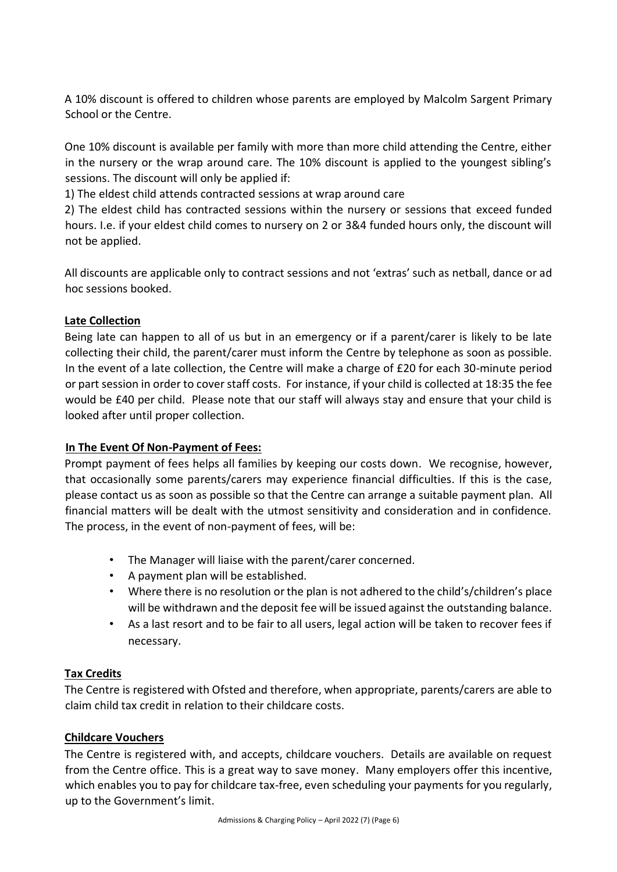A 10% discount is offered to children whose parents are employed by Malcolm Sargent Primary School or the Centre.

One 10% discount is available per family with more than more child attending the Centre, either in the nursery or the wrap around care. The 10% discount is applied to the youngest sibling's sessions. The discount will only be applied if:

1) The eldest child attends contracted sessions at wrap around care

2) The eldest child has contracted sessions within the nursery or sessions that exceed funded hours. I.e. if your eldest child comes to nursery on 2 or 3&4 funded hours only, the discount will not be applied.

All discounts are applicable only to contract sessions and not 'extras' such as netball, dance or ad hoc sessions booked.

## **Late Collection**

Being late can happen to all of us but in an emergency or if a parent/carer is likely to be late collecting their child, the parent/carer must inform the Centre by telephone as soon as possible. In the event of a late collection, the Centre will make a charge of £20 for each 30-minute period or part session in order to cover staff costs. For instance, if your child is collected at 18:35 the fee would be £40 per child. Please note that our staff will always stay and ensure that your child is looked after until proper collection.

# **In The Event Of Non-Payment of Fees:**

Prompt payment of fees helps all families by keeping our costs down. We recognise, however, that occasionally some parents/carers may experience financial difficulties. If this is the case, please contact us as soon as possible so that the Centre can arrange a suitable payment plan. All financial matters will be dealt with the utmost sensitivity and consideration and in confidence. The process, in the event of non-payment of fees, will be:

- The Manager will liaise with the parent/carer concerned.
- A payment plan will be established.
- Where there is no resolution or the plan is not adhered to the child's/children's place will be withdrawn and the deposit fee will be issued against the outstanding balance.
- As a last resort and to be fair to all users, legal action will be taken to recover fees if necessary.

#### **Tax Credits**

The Centre is registered with Ofsted and therefore, when appropriate, parents/carers are able to claim child tax credit in relation to their childcare costs.

#### **Childcare Vouchers**

The Centre is registered with, and accepts, childcare vouchers. Details are available on request from the Centre office. This is a great way to save money. Many employers offer this incentive, which enables you to pay for childcare tax-free, even scheduling your payments for you regularly, up to the Government's limit.